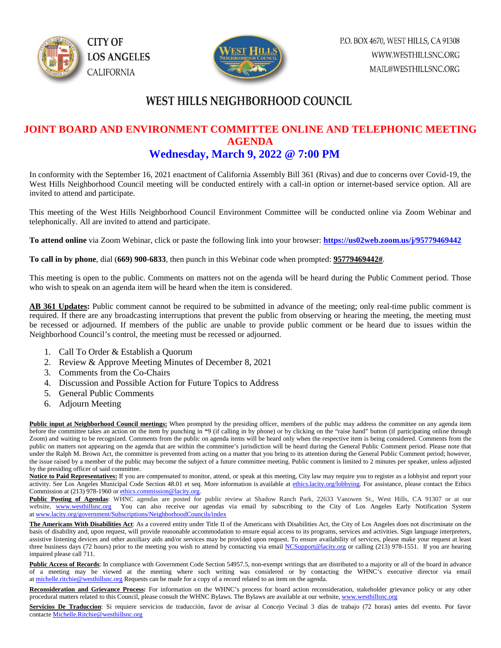



## **WEST HILLS NEIGHBORHOOD COUNCIL**

#### **JOINT BOARD AND ENVIRONMENT COMMITTEE ONLINE AND TELEPHONIC MEETING AGENDA Wednesday, March 9, 2022 @ 7:00 PM**

In conformity with the September 16, 2021 enactment of California Assembly Bill 361 (Rivas) and due to concerns over Covid-19, the West Hills Neighborhood Council meeting will be conducted entirely with a call-in option or internet-based service option. All are invited to attend and participate.

This meeting of the West Hills Neighborhood Council Environment Committee will be conducted online via Zoom Webinar and telephonically. All are invited to attend and participate.

**To attend online** via Zoom Webinar, click or paste the following link into your browser: **<https://us02web.zoom.us/j/95779469442>**

**To call in by phone**, dial (**669) 900-6833**, then punch in this Webinar code when prompted: **95779469442#**.

This meeting is open to the public. Comments on matters not on the agenda will be heard during the Public Comment period. Those who wish to speak on an agenda item will be heard when the item is considered.

**AB 361 Updates:** Public comment cannot be required to be submitted in advance of the meeting; only real-time public comment is required. If there are any broadcasting interruptions that prevent the public from observing or hearing the meeting, the meeting must be recessed or adjourned. If members of the public are unable to provide public comment or be heard due to issues within the Neighborhood Council's control, the meeting must be recessed or adjourned.

- 1. Call To Order & Establish a Quorum
- 2. Review & Approve Meeting Minutes of December 8, 2021
- 3. Comments from the Co-Chairs
- 4. Discussion and Possible Action for Future Topics to Address
- 5. General Public Comments
- 6. Adjourn Meeting

Public input at Neighborhood Council meetings: When prompted by the presiding officer, members of the public may address the committee on any agenda item before the committee takes an action on the item by punching in \*9 (if calling in by phone) or by clicking on the "raise hand" button (if participating online through Zoom) and waiting to be recognized. Comments from the public on agenda items will be heard only when the respective item is being considered. Comments from the public on matters not appearing on the agenda that are within the committee's jurisdiction will be heard during the General Public Comment period. Please note that under the Ralph M. Brown Act, the committee is prevented from acting on a matter that you bring to its attention during the General Public Comment period; however, the issue raised by a member of the public may become the subject of a future committee meeting. Public comment is limited to 2 minutes per speaker, unless adjusted by the presiding officer of said committee.

Notice to Paid Representatives: If you are compensated to monitor, attend, or speak at this meeting, City law may require you to register as a lobbyist and report your activity. See Los Angeles Municipal Code Section 48.01 et seq. More information is available a[t ethics.lacity.org/lobbying.](http://ethics.lacity.org/lobbying) For assistance, please contact the Ethics Commission at (213) 978-1960 or [ethics.commission@lacity.org.](javascript:void(0);)

**Public Posting of Agendas**: WHNC agendas are posted for public review at Shadow Ranch Park, 22633 Vanowen St., West Hills, CA 91307 or at our website, [www.westhillsnc.org](http://www.westhillsnc.org/) You can also receive our agendas via email by subscribing to the City of Los Angeles Early Notification System at [www.lacity.org/government/Subscriptions/NeighborhoodCouncils/index](http://www.lacity.org/government/Subscriptions/NeighborhoodCouncils/index)

**The Americans With Disabilities Act**: As a covered entity under Title II of the Americans with Disabilities Act, the City of Los Angeles does not discriminate on the basis of disability and, upon request, will provide reasonable accommodation to ensure equal access to its programs, services and activities. Sign language interpreters, assistive listening devices and other auxiliary aids and/or services may be provided upon request. To ensure availability of services, please make your request at least three business days (72 hours) prior to the meeting you wish to attend by contacting via emai[l NCSupport@lacity.org](mailto:NCSupport@lacity.org) or calling (213) 978-1551. If you are hearing impaired please call 711.

Public Access of Records: In compliance with Government Code Section 54957.5, non-exempt writings that are distributed to a majority or all of the board in advance of a meeting may be viewed at the meeting where such writing was considered or by contacting the WHNC's executive director via email at [michelle.ritchie@westhillsnc.org](mailto:michelle.ritchie@westhillsnc.org) Requests can be made for a copy of a record related to an item on the agenda.

**Reconsideration and Grievance Process:** For information on the WHNC's process for board action reconsideration, stakeholder grievance policy or any other procedural matters related to this Council, please consult the WHNC Bylaws. The Bylaws are available at our website, [www.westhillsnc.org](http://www.westhillsnc.org/)

Servicios De Traduccion: Si requiere servicios de traducción, favor de avisar al Concejo Vecinal 3 días de trabajo (72 horas) antes del evento. Por favor contact[e Michelle.Ritchie@westhillsnc.org](mailto:Michelle.Ritchie@westhillsnc.org)